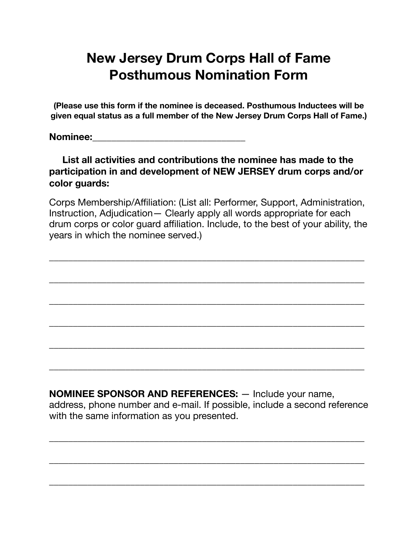## **New Jersey Drum Corps Hall of Fame Posthumous Nomination Form**

**(Please use this form if the nominee is deceased. Posthumous Inductees will be given equal status as a full member of the New Jersey Drum Corps Hall of Fame.)** 

**Nominee: Nominee:** *nominee:* 

## **List all activities and contributions the nominee has made to the participation in and development of NEW JERSEY drum corps and/or color guards:**

Corps Membership/Affiliation: (List all: Performer, Support, Administration, Instruction, Adjudication— Clearly apply all words appropriate for each drum corps or color guard affiliation. Include, to the best of your ability, the years in which the nominee served.)

\_\_\_\_\_\_\_\_\_\_\_\_\_\_\_\_\_\_\_\_\_\_\_\_\_\_\_\_\_\_\_\_\_\_\_\_\_\_\_\_\_\_\_\_\_\_\_\_\_\_\_\_\_\_\_\_\_\_\_\_\_\_\_\_\_\_

\_\_\_\_\_\_\_\_\_\_\_\_\_\_\_\_\_\_\_\_\_\_\_\_\_\_\_\_\_\_\_\_\_\_\_\_\_\_\_\_\_\_\_\_\_\_\_\_\_\_\_\_\_\_\_\_\_\_\_\_\_\_\_\_\_\_

 $\overline{\phantom{a}}$  , and the contribution of the contribution of the contribution of the contribution of the contribution of the contribution of the contribution of the contribution of the contribution of the contribution of the

\_\_\_\_\_\_\_\_\_\_\_\_\_\_\_\_\_\_\_\_\_\_\_\_\_\_\_\_\_\_\_\_\_\_\_\_\_\_\_\_\_\_\_\_\_\_\_\_\_\_\_\_\_\_\_\_\_\_\_\_\_\_\_\_\_\_

\_\_\_\_\_\_\_\_\_\_\_\_\_\_\_\_\_\_\_\_\_\_\_\_\_\_\_\_\_\_\_\_\_\_\_\_\_\_\_\_\_\_\_\_\_\_\_\_\_\_\_\_\_\_\_\_\_\_\_\_\_\_\_\_\_\_

 $\overline{\phantom{a}}$  , and the contribution of the contribution of the contribution of the contribution of the contribution of the contribution of the contribution of the contribution of the contribution of the contribution of the

**NOMINEE SPONSOR AND REFERENCES:** — Include your name, address, phone number and e-mail. If possible, include a second reference with the same information as you presented.

 $\overline{\phantom{a}}$  , and the contribution of the contribution of the contribution of the contribution of the contribution of the contribution of the contribution of the contribution of the contribution of the contribution of the

\_\_\_\_\_\_\_\_\_\_\_\_\_\_\_\_\_\_\_\_\_\_\_\_\_\_\_\_\_\_\_\_\_\_\_\_\_\_\_\_\_\_\_\_\_\_\_\_\_\_\_\_\_\_\_\_\_\_\_\_\_\_\_\_\_\_

\_\_\_\_\_\_\_\_\_\_\_\_\_\_\_\_\_\_\_\_\_\_\_\_\_\_\_\_\_\_\_\_\_\_\_\_\_\_\_\_\_\_\_\_\_\_\_\_\_\_\_\_\_\_\_\_\_\_\_\_\_\_\_\_\_\_